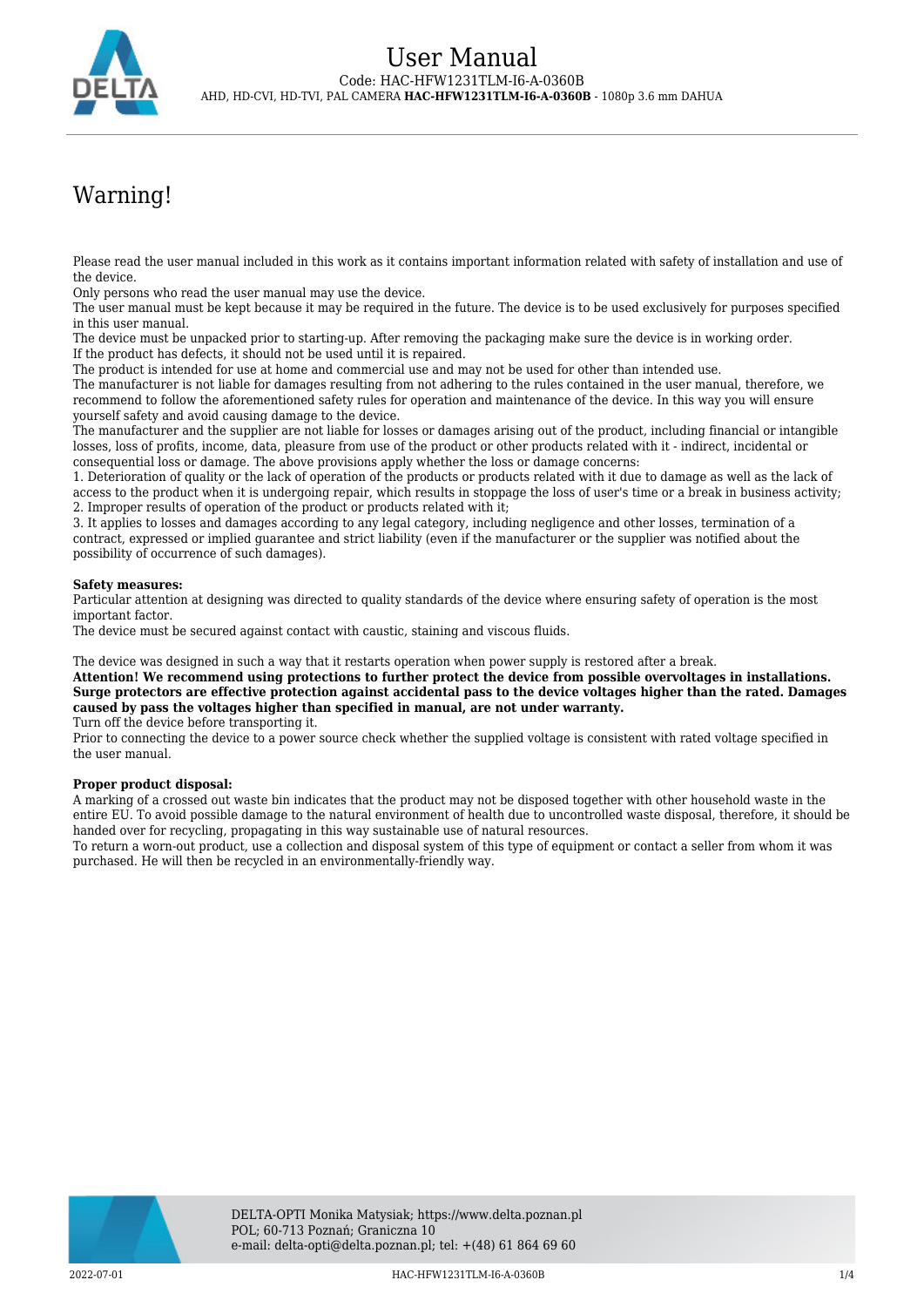

# Warning!

Please read the user manual included in this work as it contains important information related with safety of installation and use of the device.

Only persons who read the user manual may use the device.

The user manual must be kept because it may be required in the future. The device is to be used exclusively for purposes specified in this user manual.

The device must be unpacked prior to starting-up. After removing the packaging make sure the device is in working order. If the product has defects, it should not be used until it is repaired.

The product is intended for use at home and commercial use and may not be used for other than intended use.

The manufacturer is not liable for damages resulting from not adhering to the rules contained in the user manual, therefore, we recommend to follow the aforementioned safety rules for operation and maintenance of the device. In this way you will ensure yourself safety and avoid causing damage to the device.

The manufacturer and the supplier are not liable for losses or damages arising out of the product, including financial or intangible losses, loss of profits, income, data, pleasure from use of the product or other products related with it - indirect, incidental or consequential loss or damage. The above provisions apply whether the loss or damage concerns:

1. Deterioration of quality or the lack of operation of the products or products related with it due to damage as well as the lack of access to the product when it is undergoing repair, which results in stoppage the loss of user's time or a break in business activity; 2. Improper results of operation of the product or products related with it;

3. It applies to losses and damages according to any legal category, including negligence and other losses, termination of a contract, expressed or implied guarantee and strict liability (even if the manufacturer or the supplier was notified about the possibility of occurrence of such damages).

### **Safety measures:**

Particular attention at designing was directed to quality standards of the device where ensuring safety of operation is the most important factor.

The device must be secured against contact with caustic, staining and viscous fluids.

The device was designed in such a way that it restarts operation when power supply is restored after a break.

**Attention! We recommend using protections to further protect the device from possible overvoltages in installations. Surge protectors are effective protection against accidental pass to the device voltages higher than the rated. Damages caused by pass the voltages higher than specified in manual, are not under warranty.** Turn off the device before transporting it.

Prior to connecting the device to a power source check whether the supplied voltage is consistent with rated voltage specified in the user manual.

#### **Proper product disposal:**

A marking of a crossed out waste bin indicates that the product may not be disposed together with other household waste in the entire EU. To avoid possible damage to the natural environment of health due to uncontrolled waste disposal, therefore, it should be handed over for recycling, propagating in this way sustainable use of natural resources.

To return a worn-out product, use a collection and disposal system of this type of equipment or contact a seller from whom it was purchased. He will then be recycled in an environmentally-friendly way.

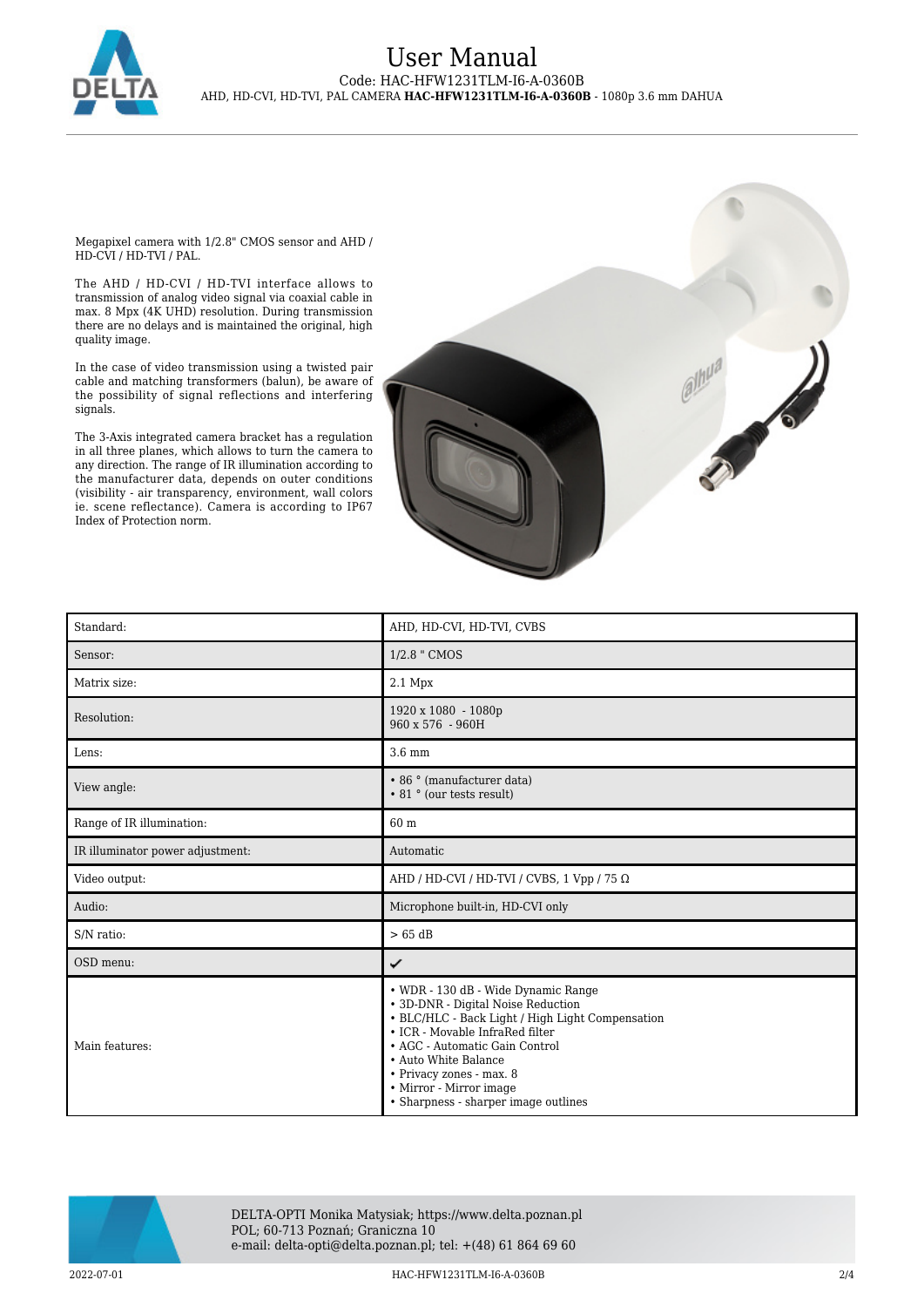

## User Manual Code: HAC-HFW1231TLM-I6-A-0360B AHD, HD-CVI, HD-TVI, PAL CAMERA **HAC-HFW1231TLM-I6-A-0360B** - 1080p 3.6 mm DAHUA

Megapixel camera with 1/2.8" CMOS sensor and AHD / HD-CVI / HD-TVI / PAL.

The AHD / HD-CVI / HD-TVI interface allows to transmission of analog video signal via coaxial cable in max. 8 Mpx (4K UHD) resolution. During transmission there are no delays and is maintained the original, high quality image.

In the case of video transmission using a twisted pair cable and matching transformers (balun), be aware of the possibility of signal reflections and interfering signals.

The 3-Axis integrated camera bracket has a regulation in all three planes, which allows to turn the camera to any direction. The range of IR illumination according to the manufacturer data, depends on outer conditions (visibility - air transparency, environment, wall colors ie. scene reflectance). Camera is according to IP67 Index of Protection norm.



| Standard:                        | AHD, HD-CVI, HD-TVI, CVBS                                                                                                                                                                                                                                                                                                 |
|----------------------------------|---------------------------------------------------------------------------------------------------------------------------------------------------------------------------------------------------------------------------------------------------------------------------------------------------------------------------|
| Sensor:                          | 1/2.8 " CMOS                                                                                                                                                                                                                                                                                                              |
| Matrix size:                     | 2.1 Mpx                                                                                                                                                                                                                                                                                                                   |
| Resolution:                      | 1920 x 1080 - 1080p<br>$960 \times 576 - 960H$                                                                                                                                                                                                                                                                            |
| Lens:                            | $3.6$ mm                                                                                                                                                                                                                                                                                                                  |
| View angle:                      | • 86 ° (manufacturer data)<br>• 81 ° (our tests result)                                                                                                                                                                                                                                                                   |
| Range of IR illumination:        | 60 m                                                                                                                                                                                                                                                                                                                      |
| IR illuminator power adjustment: | Automatic                                                                                                                                                                                                                                                                                                                 |
| Video output:                    | AHD / HD-CVI / HD-TVI / CVBS, 1 Vpp / 75 $\Omega$                                                                                                                                                                                                                                                                         |
| Audio:                           | Microphone built-in, HD-CVI only                                                                                                                                                                                                                                                                                          |
| S/N ratio:                       | $>65$ dB                                                                                                                                                                                                                                                                                                                  |
| OSD menu:                        | ✓                                                                                                                                                                                                                                                                                                                         |
| Main features:                   | • WDR - 130 dB - Wide Dynamic Range<br>• 3D-DNR - Digital Noise Reduction<br>• BLC/HLC - Back Light / High Light Compensation<br>• ICR - Movable InfraRed filter<br>• AGC - Automatic Gain Control<br>• Auto White Balance<br>• Privacy zones - max. 8<br>• Mirror - Mirror image<br>• Sharpness - sharper image outlines |



DELTA-OPTI Monika Matysiak; https://www.delta.poznan.pl POL; 60-713 Poznań; Graniczna 10 e-mail: delta-opti@delta.poznan.pl; tel: +(48) 61 864 69 60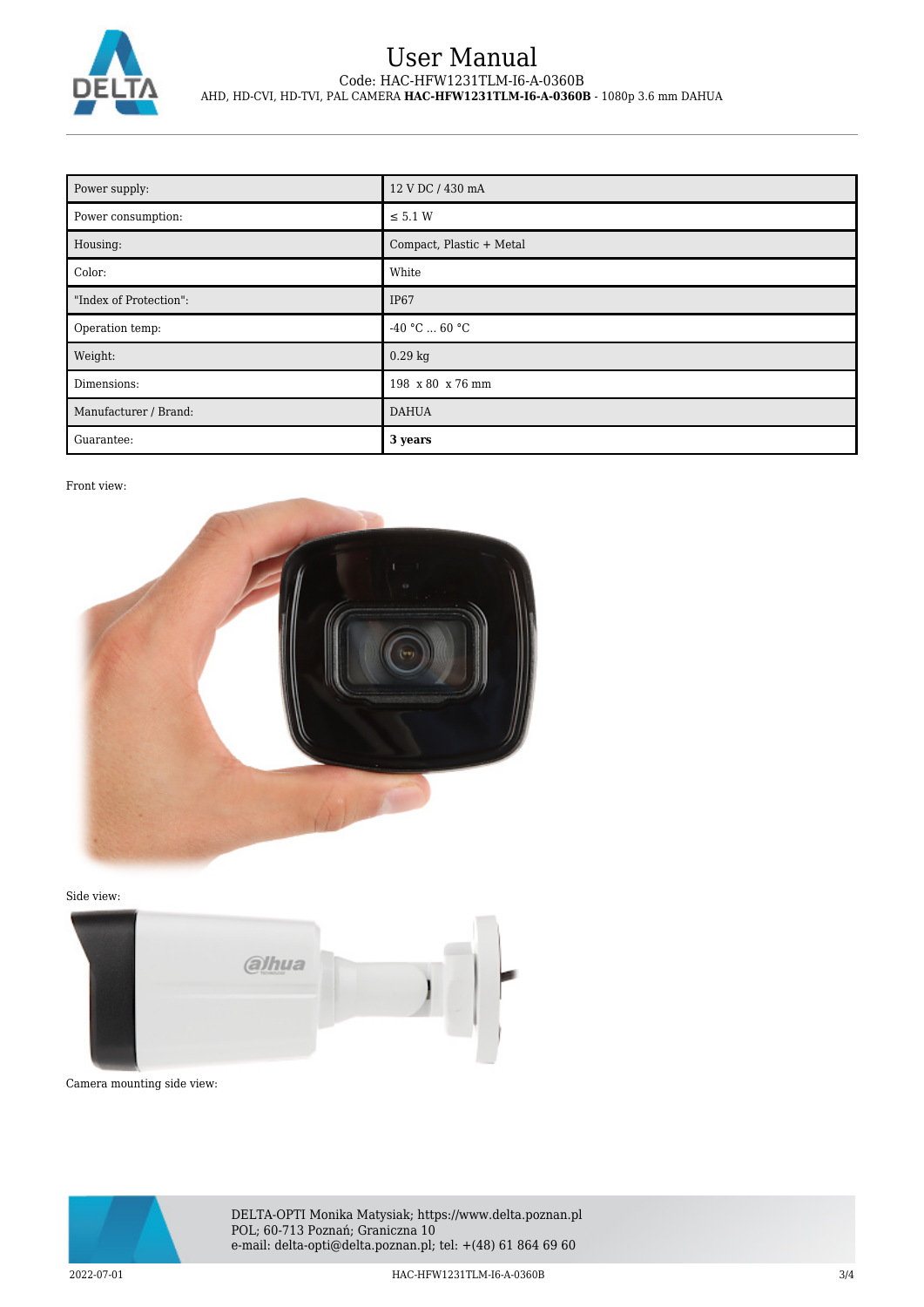

## User Manual Code: HAC-HFW1231TLM-I6-A-0360B AHD, HD-CVI, HD-TVI, PAL CAMERA **HAC-HFW1231TLM-I6-A-0360B** - 1080p 3.6 mm DAHUA

| Power supply:          | 12 V DC / 430 mA         |
|------------------------|--------------------------|
| Power consumption:     | $\leq$ 5.1 W             |
| Housing:               | Compact, Plastic + Metal |
| Color:                 | White                    |
| "Index of Protection": | IP <sub>67</sub>         |
| Operation temp:        | $-40 °C  60 °C$          |
| Weight:                | $0.29$ kg                |
| Dimensions:            | 198 x 80 x 76 mm         |
| Manufacturer / Brand:  | <b>DAHUA</b>             |
| Guarantee:             | 3 years                  |

## Front view:



Side view:



Camera mounting side view:



DELTA-OPTI Monika Matysiak; https://www.delta.poznan.pl POL; 60-713 Poznań; Graniczna 10 e-mail: delta-opti@delta.poznan.pl; tel: +(48) 61 864 69 60